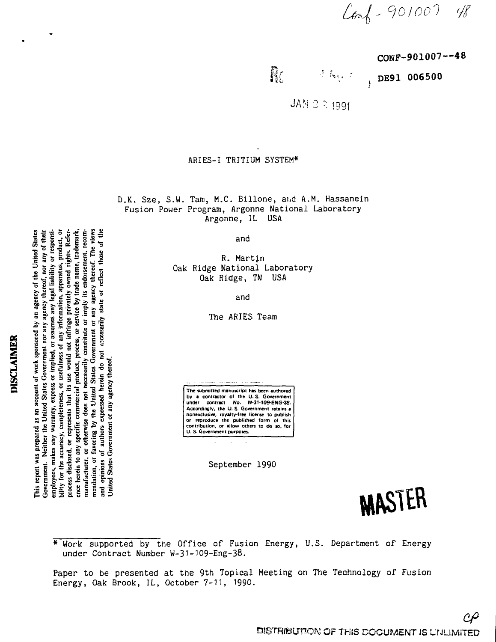$Ca^{2}-901007$  48

CONF-901007—48

Ro री किंदुक हो

DE91 006500

JAN 2 2 1991

# ARIES-I TRITIUM SYSTEM\*

D.K. Sze, S.W. Tam, M.C. Billone, and A.M. Hassanein Fusion Power Program, Argonne National Laboratory Argonne, IL USA

and

R. Martin Oak Ridge National Laboratory Oak Ridge, TN USA

and

The ARIES Team

**The submitted manuscript has been authored** by a contractor of the U.S. Government<br>under contract No. W-31-109-ENG-38.<br>Accordingly, the U.S. Government retains<br>nonexclusive, royalty-free license to publish<br>or reproduce the published form of this **contribution, or allow others to do so, for U. 5. Government purposes.**

September 1990

MASTER

\* Work supported by the Office of Fusion Energy, U.S. Department of Energy under Contract Number W-31-1O9-Eng-38.

Paper to be presented at the 9th Topical Meeting on The Technology of Fusion Energy, Oak Brook, IL, October 7-11, 1990.

# DISCLAIMER

employees, makes any warranty, express or implied, or assumes any legal liability or responsibility of reasonsity, completeness, or usefulness of any information, apparatus, product, or process disclosed, or represents tha manufacturer, or otherwise does not necessarily constitute or imply its endorsement, recom-<br>mendation, or favoring by the United States Government or any agency thereof. The views<br>and opinions of authors expressed herein d This report was prepared as an account of work sponsored by an agency of the United States Government. Neither the United States Government nor any agency thereof, nor any of their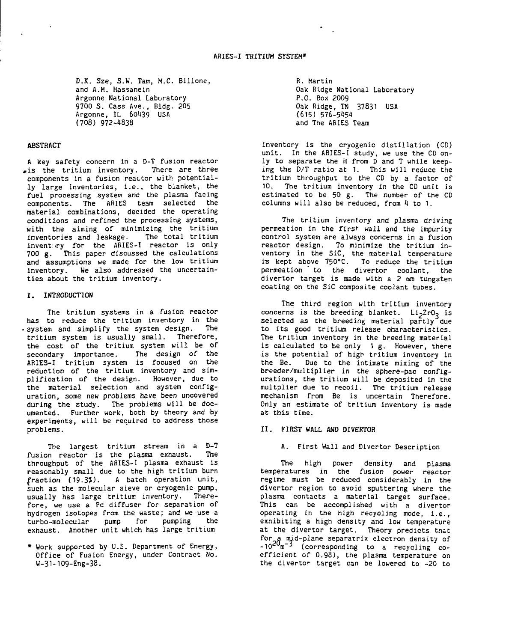D.K. Sze, S.W. Tam, M.C. Billone, and A.M. Hassanein Argonne National Laboratory 9700 S. Cass Ave., Bldg. 205 Argonne, IL 60439 USA (708) 972-4838

#### ABSTRACT

A key safety concern in a D-T fusion reactor .is the tritium inventory. There are three components in a fusion reactor with potentially large inventories, i.e., the blanket, the fuel processing system and the plasma facing components. The ARIES team selected the material combinations, decided the operating conditions and refined the processing systems, with the aiming of minimizing the tritium inventories and leakage. The total tritium invent $u$ ry for the ARIES-I reactor is only 700 g. This paper discussed the calculations and assumptions we made for the low tritium inventory. We also addressed the uncertainties about the tritium inventory.

#### I. INTRODUCTION

The tritium systems in a fusion reactor has to reduce the tritium inventory in the - system and simplify the system design. The tritium system is usually small. Therefore, the cost of the tritium system will be of secondary importance. The design of the ARIES-I tritium system is focused on the reduction of the tritium inventory and simplification of the design. However, due to the material selection and system configuration, some new problems have been uncovered during the study. The problems will be documented. Further work, both by theory and by experiments, will be required to address those problems.

The largest tritium stream in a D-T fusion reactor is the plasma exhaust. The throughput of the ARIES-I plasma exhaust is reasonably small due to the high tritium burn fraction (19.3%). A batch operation unit, such as the molecular sieve or cryogenic pump, usually has large tritium inventory. Therefore, we use a Pd diffuser for separation of hydrogen isotopes from the waste; and we use a turbo-molecular pump for pumping the exhaust. Another unit which has large tritium

• Work supported by U.S. Department of Energy, Office of Fusion Energy, under Contract No. W-31-109-Eng-38.

R. Martin Oak Ridge National Laboratory P.O. Box 2009 Oak Ridge, TN 37831 USA (615) 576-5151 and The ARIES Team

inventory is the cryogenic distillation (CD) unit. In the ARIES-I study, we use the CD only to separate the H from D and T while keeping the D/T ratio at 1. This will reduce the tritium throughput to the CD by a factor of 10. The tritium inventory in the CD unit is estimated to be 50 g. The number of the CD columns will also be reduced, from 4 to 1.

The tritium inventory and plasma driving permeation in the first wall and the impurity control system are always concerns in a fusion reactor design. To minimize the tritium inventory in the SiC, the material temperature is kept above 750°C. To reduce the tritium permeation " to the divertor coolant, the divertor target is made with a 2 mm tungsten coating on the SiC composite coolant tubes.

The third region with tritium inventory concerns is the breeding blanket. Li<sub>2</sub>ZrO<sub>2</sub> is selected as the breeding material partly due to its good tritium release characteristics. The tritium inventory in the breeding material is calculated to be only 1 g. However, there is the potential of high tritium inventory in the Be. Due to the intimate mixing of the breeder/multiplier in the sphere-pac configurations, the tritium will be deposited in the multplier due to recoil. The tritium release mechanism from Be is uncertain Therefore. Only an estimate of tritium inventory is made at this time.

#### 11. FIRST HALL **AND** DIVERTOR

# A. First Wall and Divertor Description

The high power density and plasma temperatures in the fusion power reactor regime must be reduced considerably in the divertor region to avoid sputtering where the plasma contacts a material target surface. This can be accomplished with a divertor operating in the high recycling mode, i.e., exhibiting a high density and low temperature at the divertor target. Theory predicts that for a mid-plane separatrix electron density of -10<sup>20</sup>m<sup>-3</sup> (corresponding to a recycling coefficient of 0.98), the plasma temperature on the divertor target can be lowered to -20 to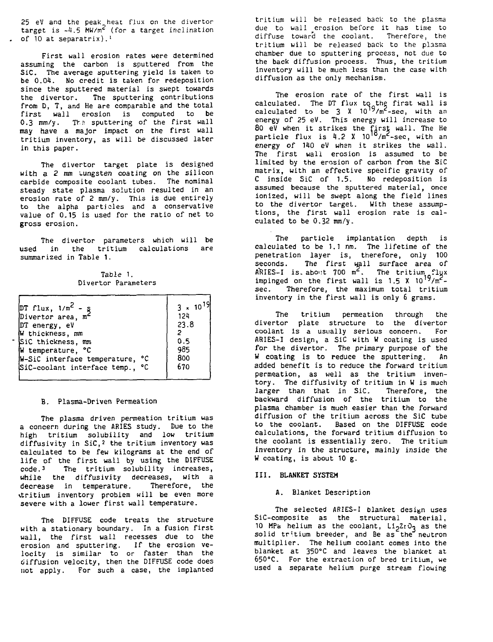25 eV and the peak heat flux on the divertor target is -4,5 MW/m<sup>2</sup> (for a target inclination of 10 at separatrix).'

First wall erosion rates were determined assuming the carbon is sputtered from the SiC. The average sputtering yield is taken to be 0.04. No credit is taken for redeposition since the sputtered material is swept towards the divertor. The sputtering contributions from D, T, and He are comparable and the total first wall erosion is computed to be 0.3 mm/y. The sputtering of the first wall may have a major impact on the first wall tritium inventory, as will be discussed later in this paper.

The divertor target plate is designed with a 2 mm tungsten coating on the silicon carbide composite coolant tubes. The nominal steady state plasma solution resulted in an erosion rate of 2 mm/y. This is due entirely to the alpha particles and a conservative value of 0.15 is used for the ratio of net to gross erosion.

The divertor parameters which will be used in the tritium calculations are summarized in Table 1.

Table 1. Divertor Parameters

| $\pi$ flux, $1/m^2 - g$<br>Divertor area, $m^2$<br>DT energy, eV<br>W thickness, mm<br>SiC thickness, mm<br>W temperature, °C<br>W-SiC interface temperature, °C | $3 \times 10^{19}$<br>124<br>23.8<br>0.5<br>985<br>800 |
|------------------------------------------------------------------------------------------------------------------------------------------------------------------|--------------------------------------------------------|
|                                                                                                                                                                  |                                                        |
| SiC-coolant interface temp., °C                                                                                                                                  | 670                                                    |

# B. Plasma-Driven Permeation

The plasma driven permeation tritium was a concern during the ARIES study. Due to the high tritium solubility and low tritium diffusivity in SiC,<sup>2</sup> the tritium inventory was calculated to be few kilograms at the end of life of the first wall by using the DIFFUSE code.3 The tritium solubility increases, while the diffusivity decreases, with a<br>decrease in temperature. Therefore, the decrease in temperature. vtritium inventory problem will be even more severe with a lower first wall temperature.

The DIFFUSE code treats the structure with a stationary boundary. In a fusion first wall, the first wall recesses due to the erosion and sputtering. If the erosion velocity is similar to or faster than the diffusion velocity, then the DIFFUSE code does not apply. For such a case, the implanted tritium will be released back to the plasma due to wall erosion before it has time to diffuse toward the coolant. Therefore, the tritium will be released back to the plasma chamber due to sputtering process, not due to the back diffusion process. Thus, the tritium inventory will be much less than the case with diffusion as the only mechanism.

The erosion rate of the first wall is calculated. The DT flux to the first wall is<br>calculated to be 3 X 10<sup>19</sup>/m<sup>2</sup>-sec, with an energy of 25 eV. This energy will increase to 80 eV when it strikes the first wall. The He particle flux is 4.2 X 10<sup>10</sup>/m<sup>2</sup>-sec, with an energy of 140 eV when it strikes the wall. The first wall erosion is assumed to be limited by the erosion of carbon from the SiC matrix, with an effective specific gravity of C inside SiC of 1.5. No redeposition is assumed because the sputtered material, once ionized, will be swept along the field lines to the divertor target. With these assumptions, the first wall erosion rate is calculated to be 0.32 mm/y.

The particle implantation depth is calculated to be 1.1 nm. The lifetime of the penetration layer is, therefore, only 100 seconds. The first wall surface area of  $ARTES-I$  is about  $700 \text{ m}^2$ . The tritium flux impinged on the first wall is  $1.5 \times 10^{19} / m^2$ sec. Therefore, the maximum total tritium inventory in the first wall is only 6 grams.

The tritium permeation through the divertor plate structure to the divertor coolant is a usually serious concern. For ARIES-I design, a SiC with W coating is used for the divertor. The primary purpose of the W coating is to reduce the sputtering. An added benefit is to reduce the forward tritium permeation, as well as the tritium inventory. The diffusivity of tritium in W is much larger than that in SiC. Therefore, the backward diffusion of the tritium to the plasma chamber is much easier than the forward diffusion of the tritium across the SiC tube to the coolant. Based on the DIFFUSE code calculations, the forward tritium diffusion to the coolant is essentially zero. The tritium inventory in the structure, mainly inside the W coating, is about 10 g.

#### III. BLANKET SYSTEM

#### A. Blanket Description

The selected ARIES-I blanket design uses SiC-composite as the structural material, 10 MPa helium as the coolant, L^ZrOj as the solid tritium breeder, and Be as the neutron multiplier. The helium coolant comes into the blanket at 35O°C and leaves the blanket at 65O°C. For the extraction of bred tritium, we used a separate helium purge stream flowing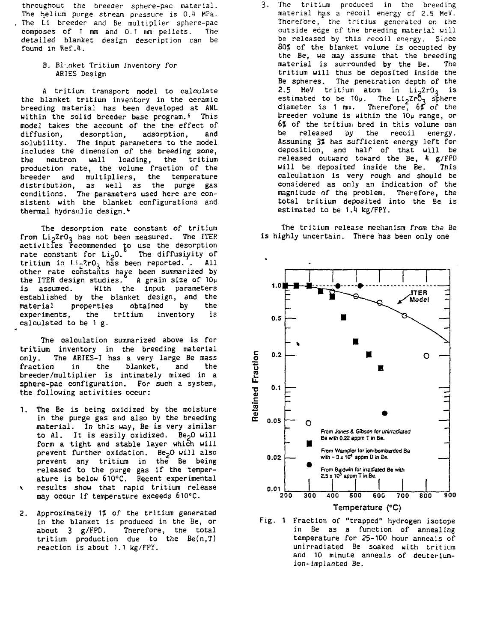throughout the breeder sphere-pac material. The helium purge stream pressure is 0.4 MPa. The Li breeder and Be multiplier sphere-pac composes of 1 mm and 0.1 mm pellets. The detailed blanket design description can be found in Ref.4.

> B. Bl.nket Tritium Inventory for ARIES Design

A tritium transport model to calculate the blanket tritium inventory in the ceramic breeding material has been developed at ANL within the solid breeder base program.<sup>5</sup> This model takes the account of the the effect of diffusion, desorption, adsorption, and solubility. The input parameters to the model includes the dimension of the breeding zone, the neutron wall loading, the tritium production rate, the volume fraction of the breeder and multipliers, the temperature distribution, as well as the purge gas conditions. The parameters used here are consistent with the blanket configurations and thermal hydraulic design.<sup>4</sup>

The desorption rate constant of tritium from  $Li<sub>2</sub>ZrO<sub>3</sub>$  has not been measured. The ITER activities recommended to use the desorption rate constant for  $Li<sub>2</sub>O$ . The diffusivity of tritium in  $Li_22rO_3$  has been reported. . All other rate constants have been summarized by the ITER design studies.<sup>°</sup> A grain size of 10µ is assumed. With the input parameters established by the blanket design, and the material properties obtained by the experiments, the tritium inventory is calculated to be 1 g.

The calculation summarized above is for tritium inventory in the breeding material only. The ARIES-1 has a very large Be mass fraction in the blanket, and the breeder/multiplier is intimately mixed in a sphere-pac configuration. For such a system, the following activities occur:

- 1. The Be is being oxidized by the moisture in the purge gas and also by the breeding material. In this way, Be is very similar to Al. It is easily oxidized. Be<sub>2</sub>0 will form a tight and stable layer which will prevent further oxidation. Be<sub>2</sub>0 will also prevent any tritium in the Be being released to the purge gas if the temperature is below 61O°C. Recent experimental results show that rapid tritium release may occur if temperature exceeds 61O°C.
- 2. Approximately 1? of the tritium generated in the blanket is produced in the Be, or about 3 g/FPD. Therefore, the total tritium production due to the Be(n,T) reaction is about 1.1 kg/FPY.

The tritium produced in the breeding 3. material has a recoil energy cf 2.5 MeV. Therefore, the tritium generated on the outside edge of the breeding material will be released by this recoil energy. Since 80% of the blanket volume is occupied by the Be, we may assume that the breeding material is surrounded by the Be. The tritium will thus be deposited inside the Be spheres. The penetration depth of the 2.5 MeV tritium atom in  $Li<sub>2</sub>ZrO<sub>3</sub>$  is estimated to be 10p. The Li<sub>n</sub>ZrO<sub>p</sub> sphere diameter is 1 mm. Therefore, 6% of the breeder volume is within the 10u range, or 6J of the tritium bred in this volume can be released by the recoil energy. Assuming 3? has sufficient energy left for deposition, and half of that will be released outward toward the Be, 4 g/FPD will be deposited inside the Be. This calculation is very rough and should be considered as only an indication of the magnitude of the problem. Therefore, the total tritium deposited into the Be is estimated to be 1.4 kg/FPY.

The tritium release mechanism from the Be is highly uncertain. There has been only one



Fig. 1 Fraction of "trapped" hydrogen isotope in Be as a function of annealing temperature for 25-100 hour anneals of unirradiated Be soaked with tritium and 10 minute anneals of deuteriumion- implanted Be.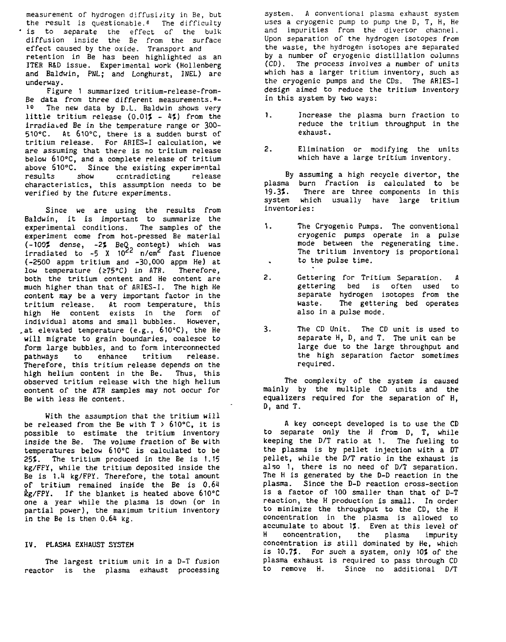measurement of hydrogen diffusivity in Be, but the result is questionable.<sup>8</sup> The difficulty is to separate the effect of the bulk diffusion inside the Be from the surface effect caused by the oxide. Transport and retention in Be has been highlighted as an ITER R&D issue. Experimental work (Hollenberg and Baldwin, PNL; and Longhurst, INEL) are underway.

Figure 1 summarized tritium-release-from-Be data from three different measurements.<sup>8</sup>- 10 The new data by D.L. Baldwin shows very little tritium release  $(0.017 - 47)$  from the irradiated Be in the temperature range or 300- 510°C. At 61O°C, there is a sudden burst of tritium release. For ARIES-I calculation, we are assuming that there is no tritium release below 61O°C, and a complete release of tritium above 61O°C. Since the existing experimental results show contradicting release characteristics, this assumption needs to be verified by the future experiments.

Since we are using the results from Baldwin, it is important to summarize the experimental conditions. The samples of the experiment come from hot-pressed Be material (-100% dense, -2% BeQ content) which was<br>irradiated to -5 X 10<sup>22</sup> n/cm<sup>2</sup> fast fluence (-2500 appm tritium and -30,000 appm He) at low temperature (275°C) in ATR. Therefore, both the tritium content and He content are much higher than that of ARIES-I. The high He content may be a very important factor in the tritium release. At room temperature, this high He content exists in the form of individual atoms and small bubbles. However, .at elevated temperature (e.g., 61O°C), the He will migrate to grain boundaries, coalesce to form large bubbles, and to form interconnected pathways to enhance the intercommeters.<br>nathways to enhance tritium release. pathways to emmance critium release.<br>Therefore this tritium release depends on the high helium content in the Be. Thus, this nigh neilum concent in the be. Thus, chis<br>observed tritium release with the high helium content of the ATR samples may not occur for Be with less He content.

With the assumption that the tritium will be released from the Be with  $T > 610^{\circ}$ C, it is possible to estimate the tritium inventory inside the Be. The volume fraction of Be with temperatures below 6i0°C is calculated to be 25%. The tritium produced in the Be is 1.15 kg/FFY, while the tritium deposited inside the Be is 1.14 kg/FPY. Therefore, the total amount of tritium remained inside the Be is 0.64  $kg/FPY$ . If the blanket is heated above  $610^{\circ}$ C one a year while the plasma is down (or in partial power), the maximum tritium inventory in the Be is then 0.64 kg.

# IV. PLASMA EXHAUST SYSTEM

The largest tritium unit in a D-T fusion reactor is the plasma exhaust processing

system. A conventional plasma exhaust system uses a cryogenic pump to pump the D, T, H, He and impurities from the divertor channel. Upon separation of the hydrogen isotopes from the waste, the hydrogen isotopes are separated by a number of cryogenic distillation columns (CD). The process involves a number of units which has a larger tritium inventory, such as the cryogenic pumps and the CDs. The ARIES-I design aimed to reduce the tritium inventory in this system by two ways:

- 1. Increase the plasma burn fraction to reduce the tritium throughput in the exhaust.
- 2. Elimination or modifying the units which have a large tritium inventory.

By assuming a high recycle divertor, the plasma burn fraction is calculated to be<br>19.3%. There are three components in this There are three components in this system which usually have large tritium inventories:

- 1. The Cryogenic Pumps. The conventional cryogenic pumps operate in a pulse mode between the regenerating time. The tritium inventory is proportional to the pulse time.  $\sim$
- 2. Gettering for Tritium Separation. A gettering bed is often used to separate hydrogen isotopes from the waste. The gettering bed operates also in a pulse mode.
- 3. The CD Unit. The CD unit is used to separate H, D, and T. The unit can be large due to the large throughput and the high separation factor sometimes required.

The complexity of the system is caused mainly by the multiple CD units and the equalizers required for the separation of H, D, and T.

A key concept developed is to use the CD to separate only the H from D, T, while keeping the D/T ratio at 1. The fueling to the plasma is by pellet injection with a DT pellet, while the D/T ratio in the exhaust is also 1, there is no need of D/T separation. The H is generated by the D-D reaction in the plasma. Since the D-D reaction cross-section is a factor of 100 smaller than that of D-T reaction, the H production is small. In order to minimize the throughput to the CD, the H concentration in the plasma is allowed to accumulate to about 1%. Even at this level of H concentration, the plasma impurity concentration is still dominated by He, which is 10.7%. For such a system, only 10% of the plasma exhaust is required to pass through CD to remove H. Since no additional D/T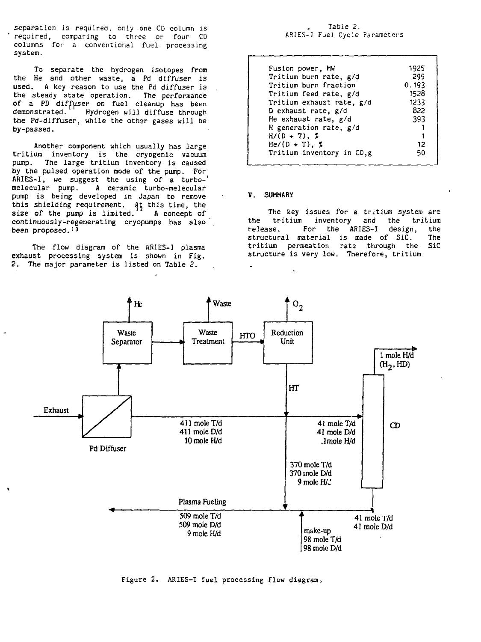separation is required, only one CD column is required, comparing to three or four CD columns for a conventional fuel processing system.

To separate the hydrogen isotopes from the He and other waste, a Pd diffuser is used. A key reason to use the Pd diffuser is the steady state operation. The performance of a PD diffuser on fuel cleanup has been<br>demonstrated. Hydrogen will diffuse through Hydrogen will diffuse through the Pd-diffuser, while the other gases will be by-passed.

Another component which usually has large tritium inventory is the cryogenic vacuum pump. The large tritium inventory is caused by the pulsed operation mode of the pump. For' ARIES-I, we suggest the using of a turbo-' melecular pump. A ceramic turbo-melecular pump is being developed in Japan to remove this shielding requirement. At this time, the size of the pump is limited. A concept of continuously-regenerating cryopumps has also been proposed.<sup>13</sup>

The flow diagram of the ARIES-1 plasma exhaust processing system is shown in Fig. 2. The major parameter is listed on Table 2.

# Table 2. ARIES-I Fuel Cycle Parameters

| Fusion power, MW          | 1925  |
|---------------------------|-------|
| Tritium burn rate, g/d    | 295   |
| Tritium burn fraction     | 0.193 |
| Tritium feed rate, g/d    | 1528  |
| Tritium exhaust rate, g/d | 1233  |
| D exhaust rate, g/d       | 822   |
| He exhaust rate, g/d      | 393   |
| H generation rate, g/d    |       |
| $H/(D + T)$ , 2           |       |
| $He/(D + T)$ , 1          | 12    |
| Tritium inventory in CD,g | 50    |
|                           |       |

# V. SUMMARY

The key issues for a tritium system are the tritium inventory and the tritium release. For the ARIES-I design, the structural material is made of SiC. The<br>tritium permeation rate through the SiC tritium permeation rate through the structure is very low. Therefore, tritium



Figure 2. ARIES-I fuel processing flow diagram.